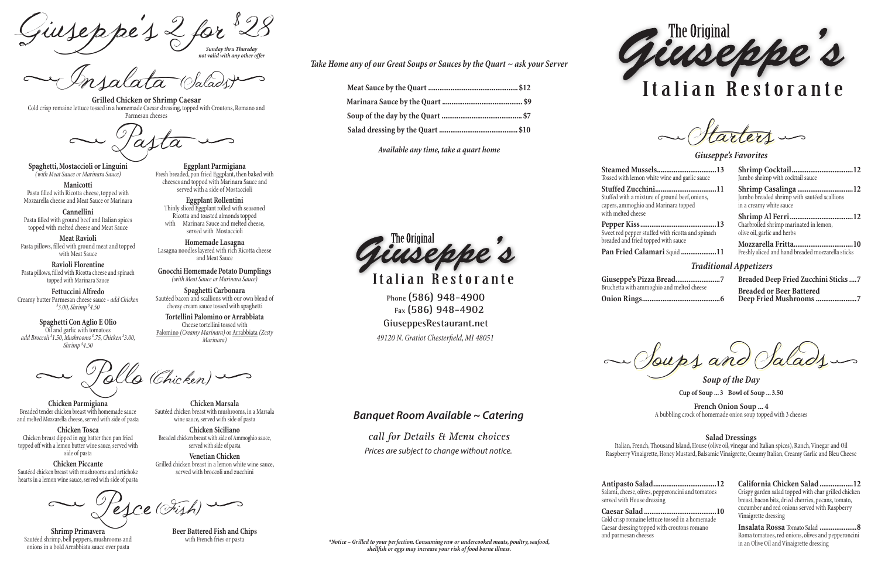*Sunday thru Thursday* Giuseppe's 2 for 28<br>hursdav

*not valid with any other offer*

Insalata (Salads)

**Grilled Chicken or Shrimp Caesar** Cold crisp romaine lettuce tossed in a homemade Caesar dressing, topped with Croutons, Romano and Parmesan cheeses

**Spaghetti, Mostaccioli or Linguini** *(with Meat Sauce or Marinara Sauce)*

**Manicotti** Pasta filled with Ricotta cheese, topped with Mozzarella cheese and Meat Sauce or Marinara

**Cannellini** Pasta filled with ground beef and Italian spices topped with melted cheese and Meat Sauce

**Eggplant Rollentini Eggpiant Rollentini**<br>Thinly sliced Eggplant rolled with seasoned Ricotta and toasted almonds topped with Marinara Sauce and melted cheese, served with Mostaccioli

**Meat Ravioli** Pasta pillows, filled with ground meat and topped with Meat Sauce

**Ravioli Florentine** Pasta pillows, filled with Ricotta cheese and spinach topped with Marinara Sauce

**Gnocchi Homemade Potato Dumplings** *Sautéed Chicken with Broccoli, Scallions, Bell Peppers, Mushrooms in a Dijon Mustard Sauce Tossed with Fettuccini (with Meat Sauce or Marinara Sauce)* 

Spaghetti Carbonara Sautéed bacon and scallions with our own blend of cheesy cream sauce tossed with spaghetti

**Fettuccini Alfredo** Creamy butter Parmesan cheese sauce - *add Chicken \$ 3.00, Shrimp \$ 4.50*

**Spaghetti Con Aglio E Olio** Oil and garlic with tomatoes *add Broccoli \$ 1.50, Mushrooms \$ .75, Chicken \$ 3.00, Shrimp \$ 4.50*

**Eggplant Parmigiana** Fresh breaded, pan fried Eggplant, then baked with cheeses and topped with Marinara Sauce and served with a side of Mostaccioli

**Chicken Marsala**  Seafood Fettuccini ....................................................................................17.99 *Sautéed Shrimp, Orange Roughy and Clams, In a Creamy Alfredo Sauce* Sautéed chicken breast with mushrooms, in a Marsala

wine sauce, served with side of pasta **Chicken Siciliano** Breaded chicken breast with side of Ammoghio sauce,

**Homemade Lasagna** Lasagna noodles layered with rich Ricotta cheese and Meat Sauce

> \*Notice – Grilled to your perfection. Consuming raw or undercooked meats, poultry, seafood, *shellfish or eggs may increase your risk of food borne illness.*



# Italian Restorante

altarters in

**Chicken Parmigiana** Breaded tender chicken breast with homemade sauce and melted Mozzarella cheese, served with side of pasta

**Chicken Tosca** Chicken breast dipped in egg batter then pan fried topped off with a lemon butter wine sauce, served with side of pasta

**Chicken Piccante** Sautéed chicken breast with mushrooms and artichoke hearts in a lemon wine sauce, served with side of pasta

 $\sim$  Pesce (Fish)

**Venetian Chicken** Grilled chicken breast in a lemon white wine sauce, served with broccoli and zucchini

**Shrimp Primavera** Sautéed shrimp, bell peppers, mushrooms and onions in a bold Arrabbiata sauce over pasta

**Beer Battered Fish and Chips**<br>with French fries or pasta

**Steamed Mussels................................13** Tossed with lemon white wine and garlic sauce

**Stuffed Zucchini.................................11** Stuffed with a mixture of ground beef, onions, capers, ammoghio and Marinara topped

**Pepper Kiss.........................................13** Sweet red pepper stuffed with ricotta and spinach

breaded and fried topped with sauce

Pasta \*\*Marinated New York Steak.....................................................................19.99 *New York Strip Steak Marinated with Our Own Spices add sautéed mushroom and onion \$1.50 each*  $\overline{B}$ Veal Parmigiana .......................................................................................17.99 *Breaded Tinder Veal Topped with Homemade Sauce and Melted Mozzarella* 

**Pan Fried Calamari** Squid **...................11**

| Shrimp Cocktail12                |
|----------------------------------|
| Jumbo shrimp with cocktail sauce |
| Shrimp Casalinga 12              |

Jumbo breaded shrimp with sautéed scallions in a creamy white sauce

**Shrimp Al Ferri..................................12** Charbroiled shrimp marinated in lemon, olive oil, garlic and herbs

**Mozzarella Fritta................................10** Freshly sliced and hand breaded mozzarella sticks

### *Giuseppe's Favorites*

**Giuseppe's Pizza Bread........................7** Bruchetta with ammoghio and melted cheese

**Onion Rings..........................................6**

w Soups and Salads

**Breaded Deep Fried Zucchini Sticks....7 Breaded or Beer Battered Deep Fried Mushrooms......................7**

### *Traditional Appetizers*

**Antipasto Salad..................................12** Salami, cheese, olives, pepperoncini and tomatoes served with House dressing

**Caesar Salad.......................................10** Cold crisp romaine lettuce tossed in a homemade Caesar dressing topped with croutons romano and parmesan cheeses

Tortellini Palomino or Arrabbiata Cheese tortellini tossed with Palomino *(Creamy Marinara)* or Arrabbiata *(Zesty Breaded Chicken with Side of Ammoghio Sauce, Served with Side of Pasta Marinara)* Pesce (Fish)

> **California Chicken Salad ..................12** Crispy garden salad topped with char grilled chicken breast, bacon bits, dried cherries, pecans, tomato, cucumber and red onions served with Raspberry Vinaigrette dressing

> **Insalata Rossa** Tomato Salad **....................8** Roma tomatoes, red onions, olives and pepperoncini in an Olive Oil and Vinaigrette dressing

*Soup of the Day* **Cup of Soup ... 3****Bowl of Soup ... 3.50**

**French Onion Soup ... 4** A bubbling crock of homemade onion soup topped with 3 cheeses

#### **Salad Dressings**

Italian, French, Thousand Island, House (olive oil, vinegar and Italian spices), Ranch, Vinegar and Oil Raspberry Vinaigrette, Honey Mustard, Balsamic Vinaigrette, Creamy Italian, Creamy Garlic and Bleu Cheese

*Take Home any of our Great Soups or Sauces by the Quart ~ ask your Server*

call for Details & Menu choices *Prices are subject to change without notice.*

*Available any time, take a quart home*



Italian Restorante

Pollo (Chicken) Shrimp Casalinga .....................................................................................16.99 *Breaded Jumbo Shrimp Pan Fried in a Lemon Butter Wine Sauce Served over Angel Hair Pasta* Shrimp Scampi ..........................................................................................15.99 *Jumbo Shrimp Sautéed in the Traditional Garlic Butter Scampi Sauce*

Fish and Chips ..........................................................................................12.99 *Beer Battered Cod and Fries or Pasta with Meat Sauce*

served with side of pasta

**Phone (586) 948-4900 Fax (586) 948-4902 GiuseppesRestaurant.net** *49120 N. Gratiot Chesterfield, MI 48051*

with melted cheese

## *Banquet Room Available ~ Catering*